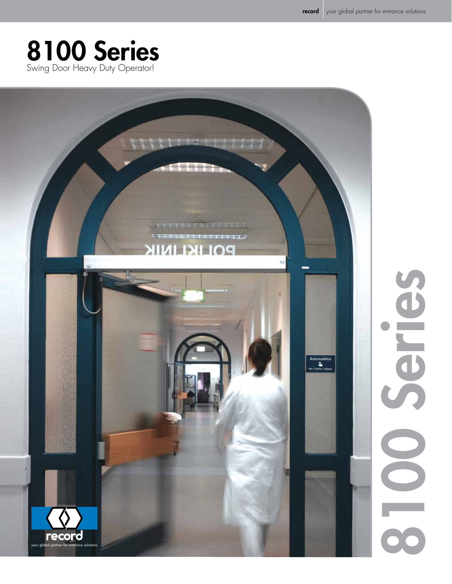# 8100 Series Swing Door Heavy Duty Operator!